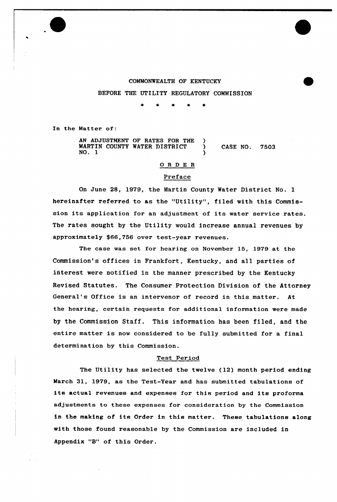

### COMMONWEALTH OF KENTUCKY

BEFORE THE UTILITY REGULATORY COMMISSION

 $\mathbf{r}$  $\bullet$ 

In the Matter of:

AN ADJUSTMENT OF RATES FOR THE )<br>MARTIN COUNTY WATER DISTRICT MARTIN COUNTY WATER DISTRICT  $\bigcup_{n=0}^{\infty}$  CASE NO. 7503 NO. 1 )

# 0 R <sup>D</sup> E <sup>R</sup>

## Preface

On June 28, 1979, the Martin County Water District No. 1 hereinafter referred to as the "Utility", filed with this Commission its application for an adjustment of its water service rates. The rates sought by the Utility would increase annual revenues by approximately \$66,756 over test-year revenues.

The case was set for hearing on November 15, 1979 at the Commission's offices in Frankfort, Kentucky, and all parties of interest were notified in the manner prescribed by the Kentucky Revised Statutes. The Consumer Protection Division of the Attorney General's Office is an intervenor of record in this matter. At the hearing, certain requests for additional infoxmation were made by the Commission Staff. This information has been filed, and the entire matter is now considered to be fully submitted for a final determination by this Commission.

#### Test Period

The Utility has selected the twelve (12) month period ending March 31, 1979, as the Test-Year and has submitted tabulations of its actual revenues and expenses for this period and its proforma adjustments to these expenses for consideration by the Commission in the making of its Order in this matter. These tabulations along with those found reasonable by the Commission are included in Appendix "B" of this Order.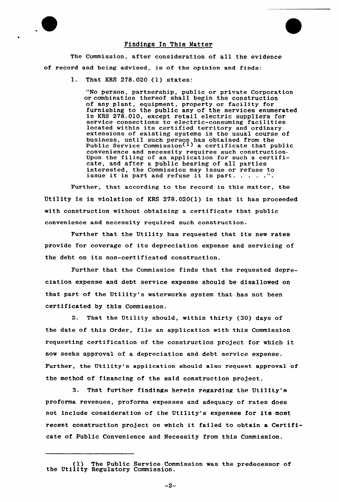### Findings In This Matter

The Commission, after consideration of all the evidence of record and being advised, is of the opinion and finds:

1. That KRS 278.020 (1) states:

"No person, partnership, public or private Corporation or combination thereof shall begin the construction of any plant, equipment, property or facility for furnishing to the public any of the services enumerated in KRS 278.010, except retail electric suppliers for service connections to electric-consuming facilities service connections to electric-consuming facilities located within its certified territory and ordinary extensions of existing systems in the usual course of business, until such person has obtained from the Public Service Commission<sup>(1)</sup> a certificate that public convenience and necessity requires such construction convenience and necessity requires such construction<br>Upon the filing of an application for such a certificate, and after a public hearing of all parties interested, the Commission may issue or refuse to issue it in part and refuse it in part.......

Further, that according to the record in this matter, the Utility is in violation of KRS 278.020(l) in that it has proceeded with construction without obtaining a certificate that public convenience and necessity required such construction.

Further that the Utility has requested that its new rates provide for coverage of its depreciation expense and servicing of the debt on its non-certificated construction.

Further that the Commission finds that the requested depreciation expense and debt service expense should be disallowed on that part of the Utility's waterworks system that has not been certificated by this Commission.

2. That the Utility should, within thirty (30) days of the date of this Order, file an application with this Commission requesting certification of the construction project for which it now seeks approval of a depreciation and debt service expense. Further, the Utility's application should also request approval of the method of financing of the said construction project.

3. That further findings herein regarding the Utility's proforma revenues, proforma expenses and adequacy of rates does not include consideration of the Utility's expenses for its most recent construction project on which it failed to obtain a Certificate of Public Convenience and Necessity from this Commission.

<sup>(1)</sup> The Public Service Commission was the predecessor of the Utility Regulatory Commission.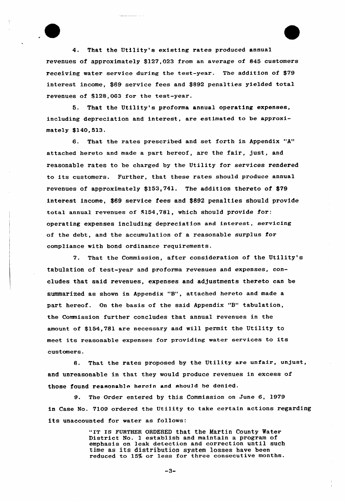4. That the Utility's existing rates produced annual revenues of approximately \$127,023 from an average of 845 customers receiving water service during the test-year. The addition of \$79 interest income, \$69 service fees and \$892 penalties yielded total revenues of \$128,063 for the test-year.

5. That the Utility's proforma annual operating expenses, including depreciation and interest, are estimated to be approximately \$140,513.

6. That the rates prescribed and set forth in Appendix "A" attached hereto and made a part hereof, are the fair, just, and reasonable rates to be charged by the Utility for services rendered to its customers. Further, that these rates should produce annual revenues of approximately \$153,74l, The addition thereto of \$79 interest income, \$69 service fees and \$892 penalties should provide total annua1 revenues of \$154,781, which should provide for: operating expenses including depreciation and interest, servicing of the debt, and the accumulation of a reasonable surplus for compliance with bond ordinance requirements.

7. That the Commission, after consideration of the Utility's tabulation of test-year and proforma revenues and expenses, concludes that said revenues, expenses and adjustments thereto can be summarized as shown in Appendix "8", attached hereto and made <sup>a</sup> part hereof. On the basis of the said Appendix "B" tabulation, the Commission further concludes that annual revenues in the amount of \$154,781 are necessary and will permit the Utility to meet its reasonable expenses for providing water services to its customers.

8. That the rates proposed by the Utility are unfair, unjust, and unreasonable in that they would produce revenues in excess of those found reasonable herein and should be denied.

9. The Order entered by this Commission on June 6, 1979 in Case No. 7109 ordered the Utility to take certain actions regarding its unaccounted for water as follows:

> "IT IS FURTEER ORDERED that the Martin County Water District No. 1 establish and maintain a program of emphasis on leak detection and correction until such time as its distribution system losses have been reduced to 15% or less for three consecutive months.

> > -3-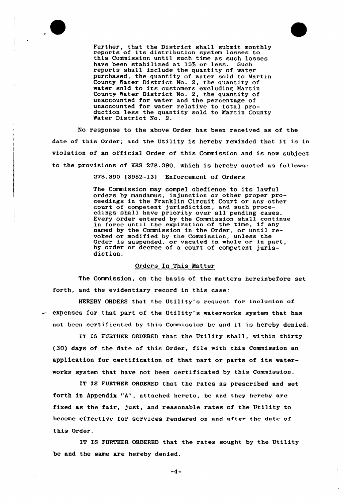

Further, that the District shall submit monthly reports of its distribution system losses to<br>this Commission until such time as such losses<br>have been stabilized at 15% or less. Such have been stabilized at 15% or less. reports shall include the quantity of water purchased, the quantity of water sold to Martin County Water District No. 2, the quantity of water sold to its customers excluding Martin County Water District No. 2, the quantity of unaccounted for water and the percentage of unaccounted for water relative to total production less the quantity sold to Martin County Water District No. 2.

No response to the above Order has been received as of the date of this Order; and the Utility is hereby reminded that it is in violation of an official Order of this Commission and is now subject to the provisions of KRS 278.390, which is hereby quoted as follows:

278.390 [3952-13] Enforcement of Orders

The Commission may compel obedience to its lawful orders by mandamus, injunction or other proper proceedings in the Franklin Circuit Court or any other court of competent jurisdiction, and such proceedings shall have priority over all pending cases. Every order entered by the Commission shall continue Every order entered by the Commission shall continually continued by the commission shall continued named by the Commission in the Order, or until revoked or modified by the Commission, unless the Order is suspended, or vacated in whole or in part, by order or decree of a court of competent jurisdiction.

### Orders In This Matter

The Commission, on the basis of the matters hereinbefore set forth, and the evidentiary record in this case:

HEREBY ORDERS that the Utility's request for inclusion of  $-$  expenses for that part of the Utility's waterworks system that has not been certificated by this Commission be and it is hereby denied.

IT IS FURTHER ORDERED that the Utility shall, within thirty (30) days of the date of this order, file with this commission an application for certification of that mart or parts of its waterworks system that have not been certificated by this Commission.

IT IS FURTHER ORDERED that the rates as prescribed and set forth in Appendix "A", attached hereto, be and they hereby are fixed as the fair, just, and reasonable rates of the Utility to become effective for services rendered on and after the date of this Order .

IT IS FURTHER ORDERED that the rates sought by the Utility be and the same are hereby denied.

 $-4-$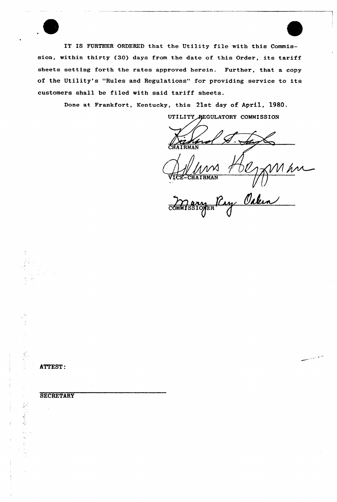IT IS FURTHER ORDERED that the Utility file with this Commission, within thirty (30) days from the date of this Order, its tariff sheets setting forth the rates approved herein. Further, that a copy of the Utility's "Rules and Regulations" for providing service to its customers shall be filed with said tariff sheets.

Done at Frankfort, Kentucky, this 21st day of April, 1980.

UTILITY REGULATORY COMMISSION

**TRMAN** 

Louissignen Pay Oction

**ATTEST:** 

# **SECRETARY**

· 中国 · 中国

فأربعه المعاملتين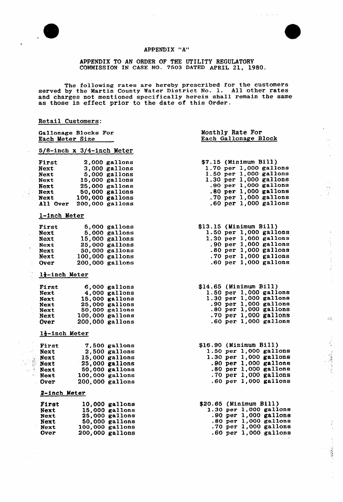

 $\ddot{\phantom{0}}$ 

 $\ddot{\phantom{0}}$  .



χ,

医心脏 医血管体质

 $\mathbb{Z}^2_3$ 

人名英格兰人姓氏

# APPENDIX "A"

APPENDIX TO AN ORDER OF THE UTILITY REGULATORY COMMISSION IN CASE NO- 7503 DATED APRIL 21, 1980.

The following rates are hereby prescribed for the customers<br>served by the Martin County Water District No. 1. All other rates and charges not mentioned specifically herein shall remain the same and entries not mentioned specificatly not one share

# Retail Customers:

|    | Gallonage Blocks For<br>Each Meter Size                                                |                                                                                                           |                                                                                          | Monthly Rate For<br>Each Gallonage Block                                                                                                                                                                            |  |  |  |
|----|----------------------------------------------------------------------------------------|-----------------------------------------------------------------------------------------------------------|------------------------------------------------------------------------------------------|---------------------------------------------------------------------------------------------------------------------------------------------------------------------------------------------------------------------|--|--|--|
|    | $5/8$ -inch x 3/4-inch Meter                                                           |                                                                                                           |                                                                                          |                                                                                                                                                                                                                     |  |  |  |
|    | First<br>Next<br><b>Next</b><br>Next<br>Next<br><b>Next</b><br><b>Next</b><br>All Over | 2,000 gallons<br>15,000 gallons<br>25,000 gallons<br>50,000 gallons<br>100,000 gallons<br>200,000 gallons | $3,000$ gallons<br>5,000 gallons                                                         | \$7.15 (Minimum Bill)<br>1.70 per 1,000 gallons<br>1.50 per 1,000 gallons<br>1.30 per 1,000 gallons<br>.90 $per$ 1,000 gallons<br>$.80$ per $1,000$ gallons<br>.70 per $1,000$ gallons<br>$.60$ per $1,000$ gallons |  |  |  |
|    | 1-inch Meter                                                                           |                                                                                                           |                                                                                          |                                                                                                                                                                                                                     |  |  |  |
| ä, | First<br>Next<br><b>Next</b><br>Next<br><b>Next</b><br>Next<br>Over                    | 100,000 gallons<br>200,000 gallons                                                                        | $5,000$ gallons<br>5,000 gallons<br>$15,000$ gallons<br>25,000 gallons<br>50,000 gallons | \$13.15 (Minimum Bill)<br>1.50 per 1,000 gallons<br>$1.30$ per $1,000$ gallons<br>.90 per $1,000$ gallons<br>$.80$ per $1,000$ gallons<br>.70 per 1,000 gallons<br>.60 per $1,000$ gallons                          |  |  |  |
|    | 1}-inch Meter                                                                          |                                                                                                           |                                                                                          |                                                                                                                                                                                                                     |  |  |  |
|    | First<br>Next<br>Next<br><b>Next</b><br><b>Next</b><br>Next<br>Over                    | 6,000 gallons<br>100,000 gallons<br>200,000 gallons                                                       | 4,000 gallons<br>15,000 gallons<br>25,000 gallons<br>50,000 gallons                      | \$14.65 (Minimum Bill)<br>1.50 per 1,000 gallons<br>1.30 per 1,000 gallons<br>.90 per $1,000$ gallons<br>$.80$ per $1,000$ gallons<br>.70 per $1,000$ gallons<br>$.60$ per $1,000$ gallons                          |  |  |  |
|    |                                                                                        | 12-inch Meter                                                                                             |                                                                                          |                                                                                                                                                                                                                     |  |  |  |
|    | First<br><b>Next</b><br>Next<br>Next<br>Next<br><b>Next</b><br>Over                    | 100,000 gallons<br>200.000 gallons                                                                        | 7,500 gallons<br>$2,500$ gallons<br>$15,000$ gallons<br>25,000 gallons<br>50,000 gallons | \$16.90 (Minimum Bill)<br>1.50 per 1,000 gallons<br>$1.30$ per $1,000$ gallons<br>.90 per 1,000 gallons<br>$.80$ per $1,000$ gallons<br>.70 per 1,000 gallons<br>.60 per 1,000 gallons                              |  |  |  |
|    |                                                                                        | 2-inch Meter                                                                                              |                                                                                          |                                                                                                                                                                                                                     |  |  |  |
|    | First<br>Next<br>Next<br><b>Next</b><br>Next<br>Over                                   | 100,000 gallons                                                                                           | 10,000 gallons<br>15,000 gallons<br>25,000 gallons<br>50,000 gallons<br>200,000 gallons  | \$20.65 (Minimum Bill)<br>$1.30$ per $1,000$ gallons<br>.90 per 1,000 gallons<br>.80 per $1,000$ gallons<br>.70 per $1,000$ gallons<br>$.60$ per $1,000$ gallons                                                    |  |  |  |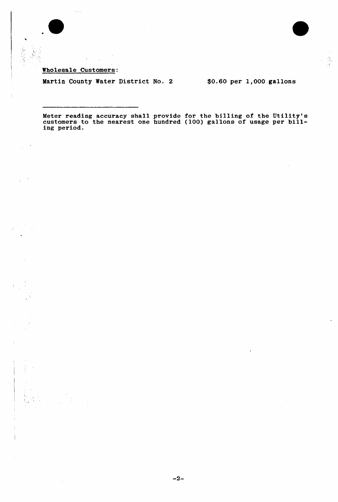Wholesale Customers:

 $\hat{\mathcal{E}}$  $\sim 10^{11}$ 

 $\frac{1}{2}$ Ř للمسا

Martin County Water District No. 2 \$0.60 per 1,000 gallons

Meter reading accuracy shall provide for the billing of the Utility' meter reading accuracy shall provide for the billing of the billity.<br>customers to the nearest one hundred (100) gallons of usage per bill ing period.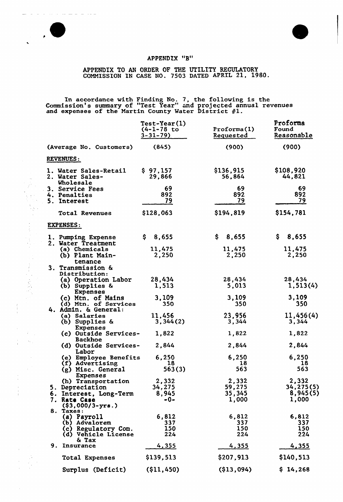# APPENDIX "B"

كالموارث المتابين المرابين

 $\sim$ 

 $\ddot{\phantom{a}}$ 

 $\hat{z}$  $\bar{\chi}$ 

 $\overline{a}$ 

# APPENDIX TO AN ORDER OF THE UTILITY REGULATORY COMMISSION IN CASE NO. 7503 DATED APRIL 21, 1980.

In accordance with Finding No. 7, the following is the Commission's summary of "Test Year" and projected annual revenue dominisaton s summary of lest fear and projected and expenses of the Martin County Water District #1.

|    |                                                       | <b>Test-Year(1)</b><br>(4-1-78 to<br>$3 - 31 - 79$ | Proforma(1)<br><b>Requested</b> | Proforma<br>Found<br>Reasonable |
|----|-------------------------------------------------------|----------------------------------------------------|---------------------------------|---------------------------------|
|    | (Average No. Customers)                               | (845)                                              | (900)                           | (900)                           |
|    | <b>REVENUES:</b>                                      |                                                    |                                 |                                 |
|    | 1. Water Sales-Retail<br>2. Water Sales-<br>Wholesale | \$97,157<br>29,866                                 | \$136,915<br>56,864             | \$108,920<br>44,821             |
|    | 3. Service Fees                                       | 69                                                 | 69                              | 69                              |
|    | 4. Penalties                                          | 892                                                | 892                             | 892                             |
|    | 5. Interest                                           | 79                                                 | 79                              | 79                              |
|    | <b>Total Revenues</b>                                 | \$128,063                                          | \$194,819                       | \$154,781                       |
|    | <b>EXPENSES:</b>                                      |                                                    |                                 |                                 |
|    | 1. Pumping Expense<br>2. Water Treatment              | \$.<br>8,655                                       | \$.<br>8,655                    | S.<br>8,655                     |
|    | (a) Chemicals                                         | 11,475                                             | 11,475                          | 11,475                          |
|    | (b) Plant Main-                                       | 2,250                                              | 2,250                           | 2,250                           |
|    | tenance                                               |                                                    |                                 |                                 |
|    | 3. Transmission &                                     |                                                    |                                 |                                 |
|    | Distribution:<br>(a) Operation Labor                  | 28,434                                             | 28,434                          | 28,434                          |
|    | (b) Supplies &                                        | 1,513                                              | 5,013                           | 1,513(4)                        |
|    | <b>Expenses</b>                                       |                                                    |                                 |                                 |
|    | (c) Mtn. of Mains                                     | 3,109                                              | 3,109                           | 3,109                           |
|    | (d) Mtn. of Services                                  | 350                                                | 350                             | 350                             |
|    | 4. Admin. & General:<br>(a) Salaries                  | 11,456                                             | 23,956                          | 11,456(4)                       |
|    | (b) Supplies &                                        | 3,344(2)                                           | 3,344                           | 3,344                           |
|    | Expenses                                              |                                                    |                                 |                                 |
|    | (c) Outside Services-<br><b>Backhoe</b>               | 1,822                                              | 1,822                           | 1,822                           |
|    | (d) Outside Services-<br>Labor                        | 2,844                                              | 2,844                           | 2,844                           |
|    | (e) Employee Benefits                                 | 6,250                                              | 6,250                           | 6,250                           |
|    | (f) Advertising<br>(g) Misc. General                  | 18<br>563(3)                                       | 18<br>563                       | 18<br>563                       |
|    | Expenses                                              |                                                    |                                 |                                 |
|    | (h) Transportation                                    | 2,332                                              | 2,332                           | 2,332                           |
|    | 5. Depreciation                                       | 34,275                                             | 59,275                          | 34,275(5)                       |
|    | 6. Interest, Long-Term                                | 8,945                                              | 35,345                          | 8,945(5)                        |
|    | 7. Rate Case<br>$(§3,000/3-yrs.)$                     | -0-                                                | 1,000                           | 1,000                           |
|    | 8. Taxes:                                             |                                                    |                                 |                                 |
|    | (a) Payroll                                           | 6,812                                              | 6,812                           | 6,812                           |
|    | (b) Advalorem                                         | 337                                                | 337                             | 337                             |
|    | (c) Regulatory Com.<br>(d) Vehicle License            | 150<br>224                                         | 150<br>224                      | 150<br>224                      |
|    | & Tax                                                 |                                                    |                                 |                                 |
| 9. | Insurance                                             | 4,355                                              | 4,355                           | <u>4,355</u>                    |
|    | Total Expenses                                        | \$139,513                                          | \$207,913                       | \$140,513                       |
|    | Surplus (Deficit)                                     | $($ \$11,450)                                      | (\$13,094)                      | \$14,268                        |